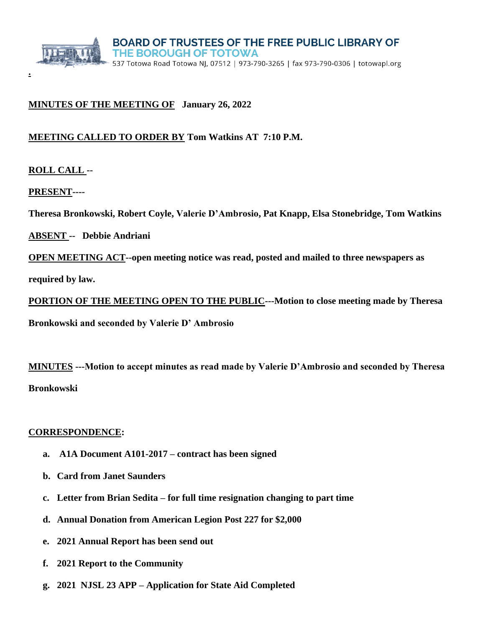

## **MINUTES OF THE MEETING OF January 26, 2022**

# **MEETING CALLED TO ORDER BY Tom Watkins AT 7:10 P.M.**

# **ROLL CALL --**

**.**

**PRESENT----**

**Theresa Bronkowski, Robert Coyle, Valerie D'Ambrosio, Pat Knapp, Elsa Stonebridge, Tom Watkins** 

**ABSENT -- Debbie Andriani** 

**OPEN MEETING ACT--open meeting notice was read, posted and mailed to three newspapers as** 

**required by law.**

**PORTION OF THE MEETING OPEN TO THE PUBLIC---Motion to close meeting made by Theresa** 

**Bronkowski and seconded by Valerie D' Ambrosio**

**MINUTES ---Motion to accept minutes as read made by Valerie D'Ambrosio and seconded by Theresa Bronkowski** 

#### **CORRESPONDENCE:**

- **a. A1A Document A101-2017 – contract has been signed**
- **b. Card from Janet Saunders**
- **c. Letter from Brian Sedita – for full time resignation changing to part time**
- **d. Annual Donation from American Legion Post 227 for \$2,000**
- **e. 2021 Annual Report has been send out**
- **f. 2021 Report to the Community**
- **g. 2021 NJSL 23 APP – Application for State Aid Completed**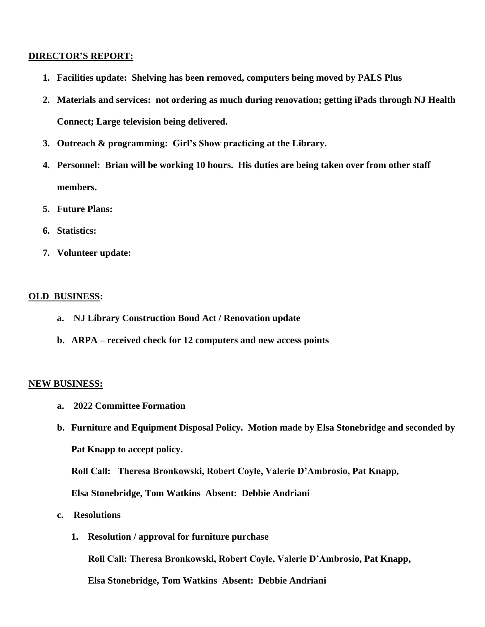#### **DIRECTOR'S REPORT:**

- **1. Facilities update: Shelving has been removed, computers being moved by PALS Plus**
- **2. Materials and services: not ordering as much during renovation; getting iPads through NJ Health Connect; Large television being delivered.**
- **3. Outreach & programming: Girl's Show practicing at the Library.**
- **4. Personnel: Brian will be working 10 hours. His duties are being taken over from other staff members.**
- **5. Future Plans:**
- **6. Statistics:**
- **7. Volunteer update:**

### **OLD BUSINESS:**

- **a. NJ Library Construction Bond Act / Renovation update**
- **b. ARPA – received check for 12 computers and new access points**

#### **NEW BUSINESS:**

- **a. 2022 Committee Formation**
- **b. Furniture and Equipment Disposal Policy. Motion made by Elsa Stonebridge and seconded by Pat Knapp to accept policy.**

**Roll Call: Theresa Bronkowski, Robert Coyle, Valerie D'Ambrosio, Pat Knapp,** 

**Elsa Stonebridge, Tom Watkins Absent: Debbie Andriani**

- **c. Resolutions**
	- **1. Resolution / approval for furniture purchase**

**Roll Call: Theresa Bronkowski, Robert Coyle, Valerie D'Ambrosio, Pat Knapp,**

**Elsa Stonebridge, Tom Watkins Absent: Debbie Andriani**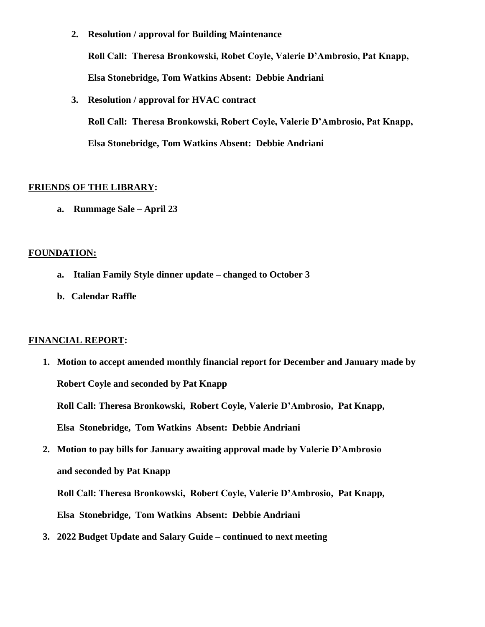**2. Resolution / approval for Building Maintenance**

**Roll Call: Theresa Bronkowski, Robet Coyle, Valerie D'Ambrosio, Pat Knapp, Elsa Stonebridge, Tom Watkins Absent: Debbie Andriani**

**3. Resolution / approval for HVAC contract**

**Roll Call: Theresa Bronkowski, Robert Coyle, Valerie D'Ambrosio, Pat Knapp, Elsa Stonebridge, Tom Watkins Absent: Debbie Andriani**

## **FRIENDS OF THE LIBRARY:**

**a. Rummage Sale – April 23**

## **FOUNDATION:**

- **a. Italian Family Style dinner update – changed to October 3**
- **b. Calendar Raffle**

## **FINANCIAL REPORT:**

- **1. Motion to accept amended monthly financial report for December and January made by Robert Coyle and seconded by Pat Knapp Roll Call: Theresa Bronkowski, Robert Coyle, Valerie D'Ambrosio, Pat Knapp, Elsa Stonebridge, Tom Watkins Absent: Debbie Andriani**
- **2. Motion to pay bills for January awaiting approval made by Valerie D'Ambrosio and seconded by Pat Knapp**

 **Roll Call: Theresa Bronkowski, Robert Coyle, Valerie D'Ambrosio, Pat Knapp, Elsa Stonebridge, Tom Watkins Absent: Debbie Andriani**

**3. 2022 Budget Update and Salary Guide – continued to next meeting**